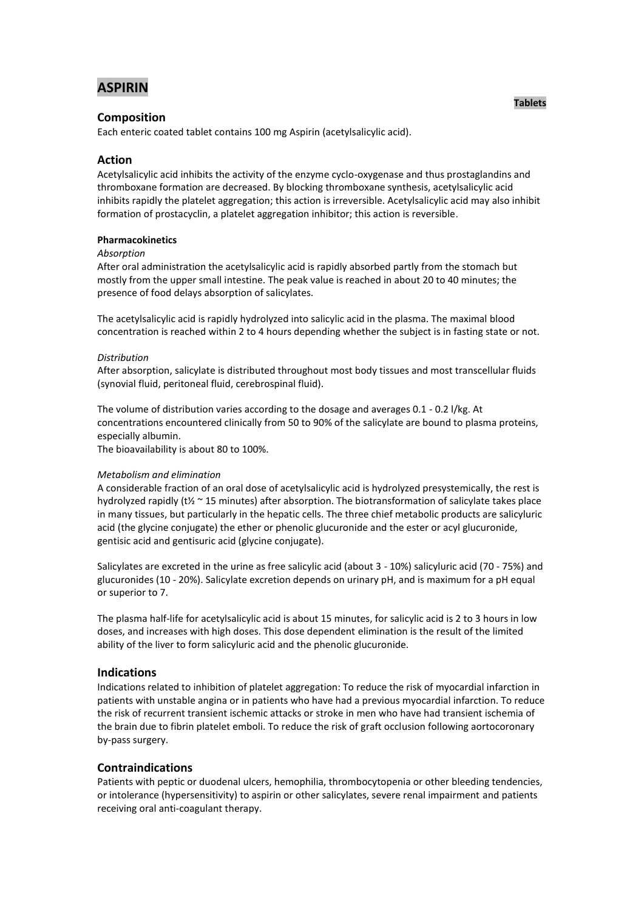# **ASPIRIN**

# **Composition**

Each enteric coated tablet contains 100 mg Aspirin (acetylsalicylic acid).

# **Action**

Acetylsalicylic acid inhibits the activity of the enzyme cyclo-oxygenase and thus prostaglandins and thromboxane formation are decreased. By blocking thromboxane synthesis, acetylsalicylic acid inhibits rapidly the platelet aggregation; this action is irreversible. Acetylsalicylic acid may also inhibit formation of prostacyclin, a platelet aggregation inhibitor; this action is reversible.

### **Pharmacokinetics**

#### *Absorption*

After oral administration the acetylsalicylic acid is rapidly absorbed partly from the stomach but mostly from the upper small intestine. The peak value is reached in about 20 to 40 minutes; the presence of food delays absorption of salicylates.

The acetylsalicylic acid is rapidly hydrolyzed into salicylic acid in the plasma. The maximal blood concentration is reached within 2 to 4 hours depending whether the subject is in fasting state or not.

#### *Distribution*

After absorption, salicylate is distributed throughout most body tissues and most transcellular fluids (synovial fluid, peritoneal fluid, cerebrospinal fluid).

The volume of distribution varies according to the dosage and averages 0.1 - 0.2 l/kg. At concentrations encountered clinically from 50 to 90% of the salicylate are bound to plasma proteins, especially albumin.

The bioavailability is about 80 to 100%.

#### *Metabolism and elimination*

A considerable fraction of an oral dose of acetylsalicylic acid is hydrolyzed presystemically, the rest is hydrolyzed rapidly (t½ ~ 15 minutes) after absorption. The biotransformation of salicylate takes place in many tissues, but particularly in the hepatic cells. The three chief metabolic products are salicyluric acid (the glycine conjugate) the ether or phenolic glucuronide and the ester or acyl glucuronide, gentisic acid and gentisuric acid (glycine conjugate).

Salicylates are excreted in the urine as free salicylic acid (about 3 - 10%) salicyluric acid (70 - 75%) and glucuronides (10 - 20%). Salicylate excretion depends on urinary pH, and is maximum for a pH equal or superior to 7.

The plasma half-life for acetylsalicylic acid is about 15 minutes, for salicylic acid is 2 to 3 hours in low doses, and increases with high doses. This dose dependent elimination is the result of the limited ability of the liver to form salicyluric acid and the phenolic glucuronide.

### **Indications**

Indications related to inhibition of platelet aggregation: To reduce the risk of myocardial infarction in patients with unstable angina or in patients who have had a previous myocardial infarction. To reduce the risk of recurrent transient ischemic attacks or stroke in men who have had transient ischemia of the brain due to fibrin platelet emboli. To reduce the risk of graft occlusion following aortocoronary by-pass surgery.

# **Contraindications**

Patients with peptic or duodenal ulcers, hemophilia, thrombocytopenia or other bleeding tendencies, or intolerance (hypersensitivity) to aspirin or other salicylates, severe renal impairment and patients receiving oral anti-coagulant therapy.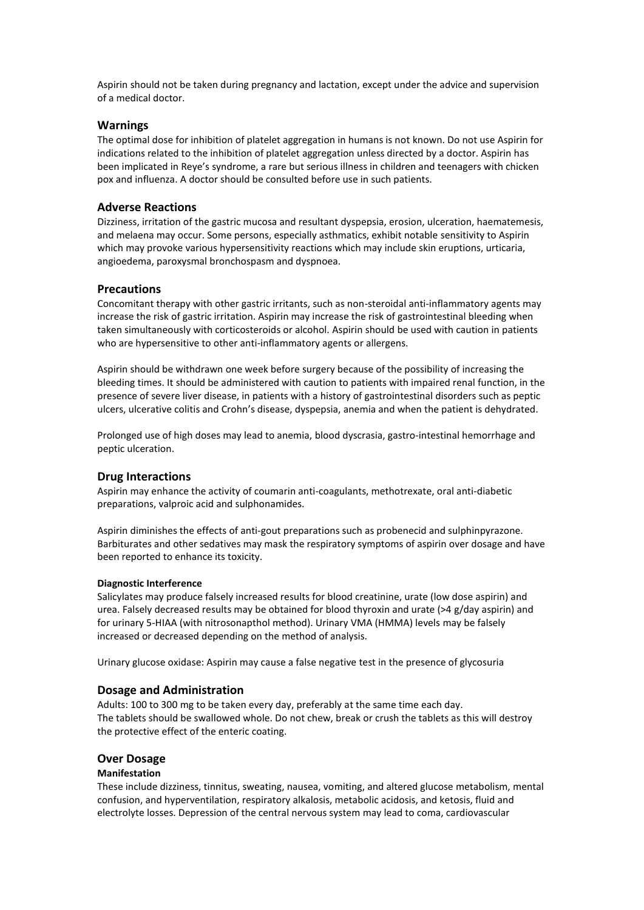Aspirin should not be taken during pregnancy and lactation, except under the advice and supervision of a medical doctor.

# **Warnings**

The optimal dose for inhibition of platelet aggregation in humans is not known. Do not use Aspirin for indications related to the inhibition of platelet aggregation unless directed by a doctor. Aspirin has been implicated in Reye's syndrome, a rare but serious illness in children and teenagers with chicken pox and influenza. A doctor should be consulted before use in such patients.

# **Adverse Reactions**

Dizziness, irritation of the gastric mucosa and resultant dyspepsia, erosion, ulceration, haematemesis, and melaena may occur. Some persons, especially asthmatics, exhibit notable sensitivity to Aspirin which may provoke various hypersensitivity reactions which may include skin eruptions, urticaria, angioedema, paroxysmal bronchospasm and dyspnoea.

### **Precautions**

Concomitant therapy with other gastric irritants, such as non-steroidal anti-inflammatory agents may increase the risk of gastric irritation. Aspirin may increase the risk of gastrointestinal bleeding when taken simultaneously with corticosteroids or alcohol. Aspirin should be used with caution in patients who are hypersensitive to other anti-inflammatory agents or allergens.

Aspirin should be withdrawn one week before surgery because of the possibility of increasing the bleeding times. It should be administered with caution to patients with impaired renal function, in the presence of severe liver disease, in patients with a history of gastrointestinal disorders such as peptic ulcers, ulcerative colitis and Crohn's disease, dyspepsia, anemia and when the patient is dehydrated.

Prolonged use of high doses may lead to anemia, blood dyscrasia, gastro-intestinal hemorrhage and peptic ulceration.

### **Drug Interactions**

Aspirin may enhance the activity of coumarin anti-coagulants, methotrexate, oral anti-diabetic preparations, valproic acid and sulphonamides.

Aspirin diminishes the effects of anti-gout preparations such as probenecid and sulphinpyrazone. Barbiturates and other sedatives may mask the respiratory symptoms of aspirin over dosage and have been reported to enhance its toxicity.

#### **Diagnostic Interference**

Salicylates may produce falsely increased results for blood creatinine, urate (low dose aspirin) and urea. Falsely decreased results may be obtained for blood thyroxin and urate (>4 g/day aspirin) and for urinary 5-HIAA (with nitrosonapthol method). Urinary VMA (HMMA) levels may be falsely increased or decreased depending on the method of analysis.

Urinary glucose oxidase: Aspirin may cause a false negative test in the presence of glycosuria

### **Dosage and Administration**

Adults: 100 to 300 mg to be taken every day, preferably at the same time each day. The tablets should be swallowed whole. Do not chew, break or crush the tablets as this will destroy the protective effect of the enteric coating.

### **Over Dosage**

#### **Manifestation**

These include dizziness, tinnitus, sweating, nausea, vomiting, and altered glucose metabolism, mental confusion, and hyperventilation, respiratory alkalosis, metabolic acidosis, and ketosis, fluid and electrolyte losses. Depression of the central nervous system may lead to coma, cardiovascular